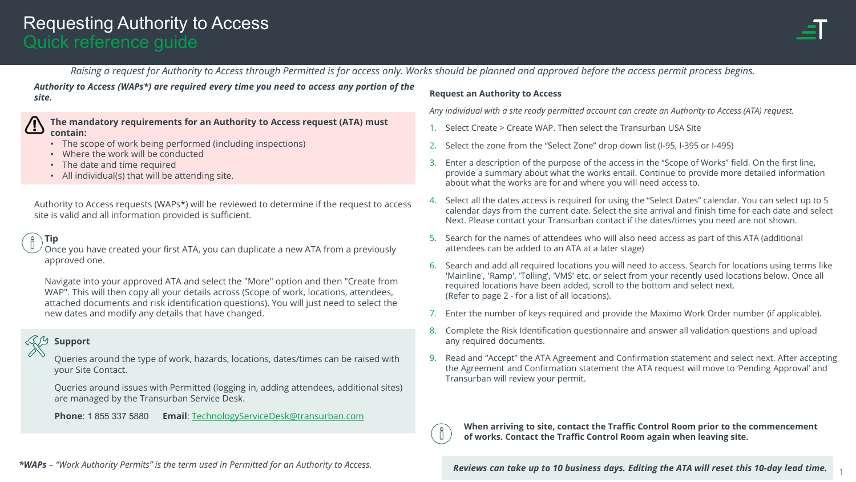#### *Raising a request for Authority to Access through Permitted is for access only. Works should be planned and approved before the access permit process begins.*

*Authority to Access (WAPs\*) are required every time you need to access any portion of the site.* 

#### **The mandatory requirements for an Authority to Access request (ATA) must contain:**

- The scope of work being performed (including inspections)
- Where the work will be conducted
- The date and time required
- All individual(s) that will be attending site.

Authority to Access requests (WAPs\*) will be reviewed to determine if the request to access site is valid and all information provided is sufficient.

#### **Tip**

Once you have created your first ATA, you can duplicate a new ATA from a previously approved one.

Navigate into your approved ATA and select the "More" option and then "Create from WAP". This will then copy all your details across (Scope of work, locations, attendees, attached documents and risk identification questions). You will just need to select the new dates and modify any details that have changed.

#### **Support**

Queries around the type of work, hazards, locations, dates/times can be raised with your Site Contact.

Queries around issues with Permitted (logging in, adding attendees, additional sites) are managed by the Transurban Service Desk.

**Phone**: 1 855 337 5880 **Email**: [TechnologyServiceDesk@transurban.com](mailto:TechnologyServiceDesk@transurban.com)

#### **Request an Authority to Access**

*Any individual with a site ready permitted account can create an Authority to Access (ATA) request.*

- 1. Select Create > Create WAP. Then select the Transurban USA Site
- 2. Select the zone from the "Select Zone" drop down list (I-95, I-395 or I-495)
- 3. Enter a description of the purpose of the access in the "Scope of Works" field. On the first line, provide a summary about what the works entail. Continue to provide more detailed information about what the works are for and where you will need access to.
- 4. Select all the dates access is required for using the "Select Dates" calendar. You can select up to 5 calendar days from the current date. Select the site arrival and finish time for each date and select Next. Please contact your Transurban contact if the dates/times you need are not shown.
- 5. Search for the names of attendees who will also need access as part of this ATA (additional attendees can be added to an ATA at a later stage)
- 6. Search and add all required locations you will need to access. Search for locations using terms like 'Mainline', 'Ramp', 'Tolling', 'VMS' etc. or select from your recently used locations below. Once all required locations have been added, scroll to the bottom and select next. (Refer to page 2 - for a list of all locations).
- 7. Enter the number of keys required and provide the Maximo Work Order number (if applicable).
- 8. Complete the Risk Identification questionnaire and answer all validation questions and upload any required documents.
- 9. Read and "Accept" the ATA Agreement and Confirmation statement and select next. After accepting the Agreement and Confirmation statement the ATA request will move to 'Pending Approval' and Transurban will review your permit.

#### **When arriving to site, contact the Traffic Control Room prior to the commencement of works. Contact the Traffic Control Room again when leaving site.**

*\*WAPs – "Work Authority Permits" is the term used in Permitted for an Authority to Access.* 

*Reviews can take up to 10 business days. Editing the ATA will reset this 10-day lead time.* <sup>1</sup>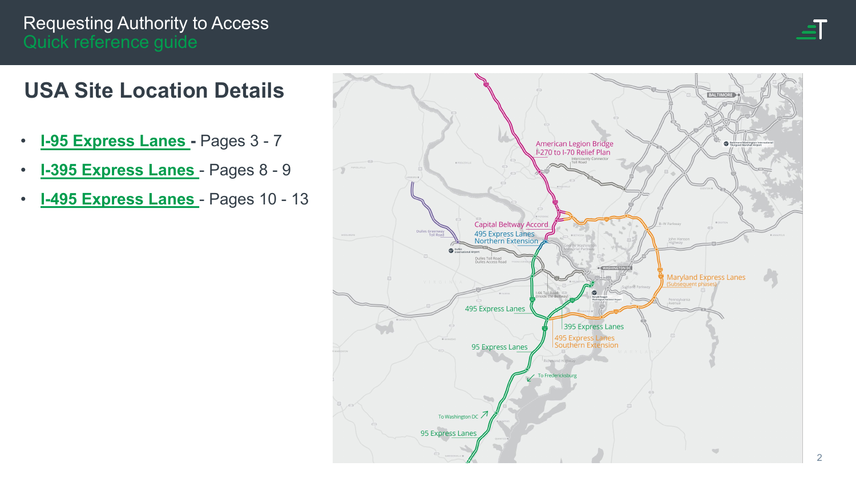

## **USA Site Location Details**

- **[I-95 Express Lanes](#page-2-0) -** Pages 3 7
- **[I-395 Express Lanes](#page-7-0)**  Pages 8 9
- **[I-495 Express Lanes](#page-9-0)**  Pages 10 13

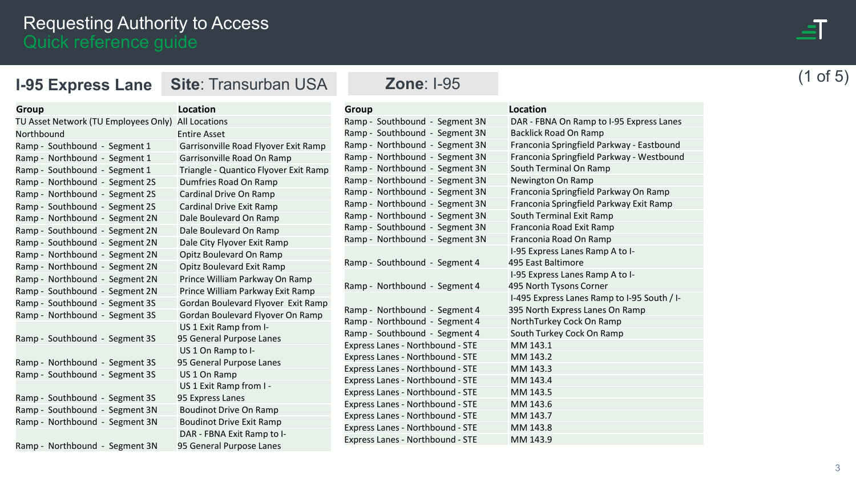|  | <b>Service Service</b><br>___<br>$\overline{\phantom{a}}$<br><b>Service Service</b> |  |  |
|--|-------------------------------------------------------------------------------------|--|--|
|  | _____                                                                               |  |  |
|  |                                                                                     |  |  |

#### <span id="page-2-0"></span>**I-95 Express Lane Site**: Transurban USA **Zone**: I-95 **Group Constanting Constanting Constanting Constanting Constanting Constanting Constanting Constanting Constanting Constanting Constanting Constanting Constanting Constanting Constanting Constanting Constanting Constanti** TU Asset Network (TU Employees Only) All Locations Northbound Entire Asset Ramp - Southbound - Segment 1 Garrisonville Road Flyover Exit Ramp Ramp - Northbound - Segment 1 Garrisonville Road On Ramp Ramp - Southbound - Segment 1 Triangle - Quantico Flyover Exit Ramp Ramp - Northbound - Segment 2S Dumfries Road On Ramp Ramp - Northbound - Segment 2S Cardinal Drive On Ramp Ramp - Southbound - Segment 2S Cardinal Drive Exit Ramp Ramp - Northbound - Segment 2N Dale Boulevard On Ramp Ramp - Southbound - Segment 2N Dale Boulevard On Ramp Ramp - Southbound - Segment 2N Dale City Flyover Exit Ramp Ramp - Northbound - Segment 2N Opitz Boulevard On Ramp Ramp - Northbound - Segment 2N Opitz Boulevard Exit Ramp Ramp - Northbound - Segment 2N Prince William Parkway On Ramp Ramp - Southbound - Segment 2N Prince William Parkway Exit Ramp Ramp - Southbound - Segment 3S Gordan Boulevard Flyover Exit Ramp Ramp - Northbound - Segment 3S Gordan Boulevard Flyover On Ramp Ramp - Southbound - Segment 3S US 1 Exit Ramp from I-95 General Purpose Lanes Ramp - Northbound - Segment 3S US 1 On Ramp to I-95 General Purpose Lanes Ramp - Southbound - Segment 3S US 1 On Ramp Ramp - Southbound - Segment 3S US 1 Exit Ramp from I - 95 Express Lanes Ramp - Southbound - Segment 3N Boudinot Drive On Ramp Ramp - Northbound - Segment 3N Boudinot Drive Exit Ramp Ramp - Northbound - Segment 3N DAR - FBNA Exit Ramp to I-95 General Purpose Lanes **Group Constanting Constanting Constanting Constanting Constanting Constanting Constanting Constanting Constanting Constanting Constanting Constanting Constanting Constanting Constanting Constanting Constanting Constanti** Ramp - Southbound - Segment 3N DAR - FBNA On Ramp to I-95 Express Lanes Ramp - Southbound - Segment 3N Backlick Road On Ramp Ramp - Northbound - Segment 3N Franconia Springfield Parkway - Eastbound Ramp - Northbound - Segment 3N Franconia Springfield Parkway - Westbound Ramp - Northbound - Segment 3N South Terminal On Ramp Ramp - Northbound - Segment 3N Newington On Ramp Ramp - Northbound - Segment 3N Franconia Springfield Parkway On Ramp Ramp - Northbound - Segment 3N Franconia Springfield Parkway Exit Ramp Ramp - Northbound - Segment 3N South Terminal Exit Ramp Ramp - Southbound - Segment 3N Franconia Road Exit Ramp Ramp - Northbound - Segment 3N Franconia Road On Ramp Ramp - Southbound - Segment 4 I-95 Express Lanes Ramp A to I-495 East Baltimore Ramp - Northbound - Segment 4 I-95 Express Lanes Ramp A to I-495 North Tysons Corner Ramp - Northbound - Segment 4 I-495 Express Lanes Ramp to I-95 South / I-395 North Express Lanes On Ramp Ramp - Northbound - Segment 4 NorthTurkey Cock On Ramp Ramp - Southbound - Segment 4 South Turkey Cock On Ramp Express Lanes - Northbound - STE MM 143.1 Express Lanes - Northbound - STE MM 143.2 Express Lanes - Northbound - STE MM 143.3 Express Lanes - Northbound - STE MM 143.4 Express Lanes - Northbound - STE MM 143.5 Express Lanes - Northbound - STE MM 143.6 Express Lanes - Northbound - STE MM 143.7 Express Lanes - Northbound - STE MM 143.8 Express Lanes - Northbound - STE MM 143.9

(1 of 5)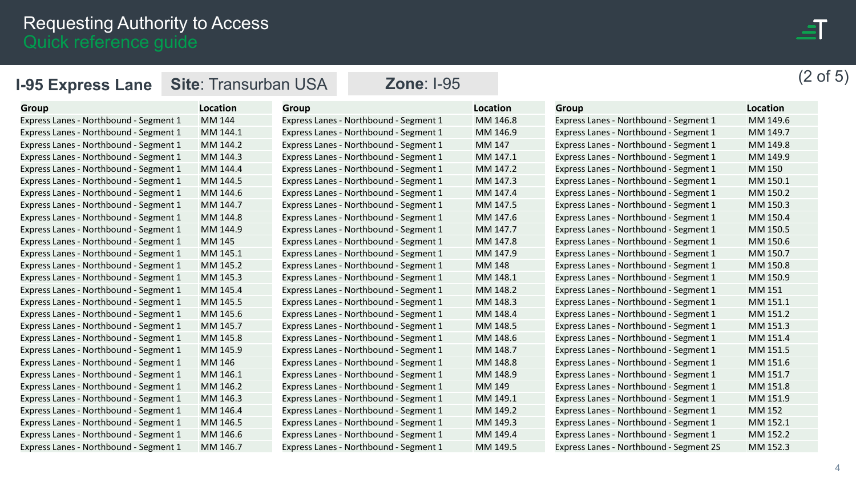|       | <b>Contract Contract Contract Contract Contract Contract Contract Contract Contract Contract Contract Contract Co</b><br>__<br>- |  |
|-------|----------------------------------------------------------------------------------------------------------------------------------|--|
| _____ |                                                                                                                                  |  |
|       |                                                                                                                                  |  |

(2 of 5)

| <b>I-95 Express Lane</b>               | <b>Site: Transurban USA</b> |              | <b>Zone: I-95</b>                      |          |                                         | (Z O     |
|----------------------------------------|-----------------------------|--------------|----------------------------------------|----------|-----------------------------------------|----------|
| <b>Group</b>                           | <b>Location</b>             | <b>Group</b> |                                        | Location | <b>Group</b>                            | Location |
| Express Lanes - Northbound - Segment 1 | MM 144                      |              | Express Lanes - Northbound - Segment 1 | MM 146.8 | Express Lanes - Northbound - Segment 1  | MM 149.6 |
| Express Lanes - Northbound - Segment 1 | MM 144.1                    |              | Express Lanes - Northbound - Segment 1 | MM 146.9 | Express Lanes - Northbound - Segment 1  | MM 149.7 |
| Express Lanes - Northbound - Segment 1 | MM 144.2                    |              | Express Lanes - Northbound - Segment 1 | MM 147   | Express Lanes - Northbound - Segment 1  | MM 149.8 |
| Express Lanes - Northbound - Segment 1 | MM 144.3                    |              | Express Lanes - Northbound - Segment 1 | MM 147.1 | Express Lanes - Northbound - Segment 1  | MM 149.9 |
| Express Lanes - Northbound - Segment 1 | MM 144.4                    |              | Express Lanes - Northbound - Segment 1 | MM 147.2 | Express Lanes - Northbound - Segment 1  | MM 150   |
| Express Lanes - Northbound - Segment 1 | MM 144.5                    |              | Express Lanes - Northbound - Segment 1 | MM 147.3 | Express Lanes - Northbound - Segment 1  | MM 150.1 |
| Express Lanes - Northbound - Segment 1 | MM 144.6                    |              | Express Lanes - Northbound - Segment 1 | MM 147.4 | Express Lanes - Northbound - Segment 1  | MM 150.2 |
| Express Lanes - Northbound - Segment 1 | MM 144.7                    |              | Express Lanes - Northbound - Segment 1 | MM 147.5 | Express Lanes - Northbound - Segment 1  | MM 150.3 |
| Express Lanes - Northbound - Segment 1 | MM 144.8                    |              | Express Lanes - Northbound - Segment 1 | MM 147.6 | Express Lanes - Northbound - Segment 1  | MM 150.4 |
| Express Lanes - Northbound - Segment 1 | MM 144.9                    |              | Express Lanes - Northbound - Segment 1 | MM 147.7 | Express Lanes - Northbound - Segment 1  | MM 150.5 |
| Express Lanes - Northbound - Segment 1 | MM 145                      |              | Express Lanes - Northbound - Segment 1 | MM 147.8 | Express Lanes - Northbound - Segment 1  | MM 150.6 |
| Express Lanes - Northbound - Segment 1 | MM 145.1                    |              | Express Lanes - Northbound - Segment 1 | MM 147.9 | Express Lanes - Northbound - Segment 1  | MM 150.7 |
| Express Lanes - Northbound - Segment 1 | MM 145.2                    |              | Express Lanes - Northbound - Segment 1 | MM 148   | Express Lanes - Northbound - Segment 1  | MM 150.8 |
| Express Lanes - Northbound - Segment 1 | MM 145.3                    |              | Express Lanes - Northbound - Segment 1 | MM 148.1 | Express Lanes - Northbound - Segment 1  | MM 150.9 |
| Express Lanes - Northbound - Segment 1 | MM 145.4                    |              | Express Lanes - Northbound - Segment 1 | MM 148.2 | Express Lanes - Northbound - Segment 1  | MM 151   |
| Express Lanes - Northbound - Segment 1 | MM 145.5                    |              | Express Lanes - Northbound - Segment 1 | MM 148.3 | Express Lanes - Northbound - Segment 1  | MM 151.1 |
| Express Lanes - Northbound - Segment 1 | MM 145.6                    |              | Express Lanes - Northbound - Segment 1 | MM 148.4 | Express Lanes - Northbound - Segment 1  | MM 151.2 |
| Express Lanes - Northbound - Segment 1 | MM 145.7                    |              | Express Lanes - Northbound - Segment 1 | MM 148.5 | Express Lanes - Northbound - Segment 1  | MM 151.3 |
| Express Lanes - Northbound - Segment 1 | MM 145.8                    |              | Express Lanes - Northbound - Segment 1 | MM 148.6 | Express Lanes - Northbound - Segment 1  | MM 151.4 |
| Express Lanes - Northbound - Segment 1 | MM 145.9                    |              | Express Lanes - Northbound - Segment 1 | MM 148.7 | Express Lanes - Northbound - Segment 1  | MM 151.5 |
| Express Lanes - Northbound - Segment 1 | MM 146                      |              | Express Lanes - Northbound - Segment 1 | MM 148.8 | Express Lanes - Northbound - Segment 1  | MM 151.6 |
| Express Lanes - Northbound - Segment 1 | MM 146.1                    |              | Express Lanes - Northbound - Segment 1 | MM 148.9 | Express Lanes - Northbound - Segment 1  | MM 151.7 |
| Express Lanes - Northbound - Segment 1 | MM 146.2                    |              | Express Lanes - Northbound - Segment 1 | MM 149   | Express Lanes - Northbound - Segment 1  | MM 151.8 |
| Express Lanes - Northbound - Segment 1 | MM 146.3                    |              | Express Lanes - Northbound - Segment 1 | MM 149.1 | Express Lanes - Northbound - Segment 1  | MM 151.9 |
| Express Lanes - Northbound - Segment 1 | MM 146.4                    |              | Express Lanes - Northbound - Segment 1 | MM 149.2 | Express Lanes - Northbound - Segment 1  | MM 152   |
| Express Lanes - Northbound - Segment 1 | MM 146.5                    |              | Express Lanes - Northbound - Segment 1 | MM 149.3 | Express Lanes - Northbound - Segment 1  | MM 152.1 |
| Express Lanes - Northbound - Segment 1 | MM 146.6                    |              | Express Lanes - Northbound - Segment 1 | MM 149.4 | Express Lanes - Northbound - Segment 1  | MM 152.2 |
| Express Lanes - Northbound - Segment 1 | MM 146.7                    |              | Express Lanes - Northbound - Segment 1 | MM 149.5 | Express Lanes - Northbound - Segment 2S | MM 152.3 |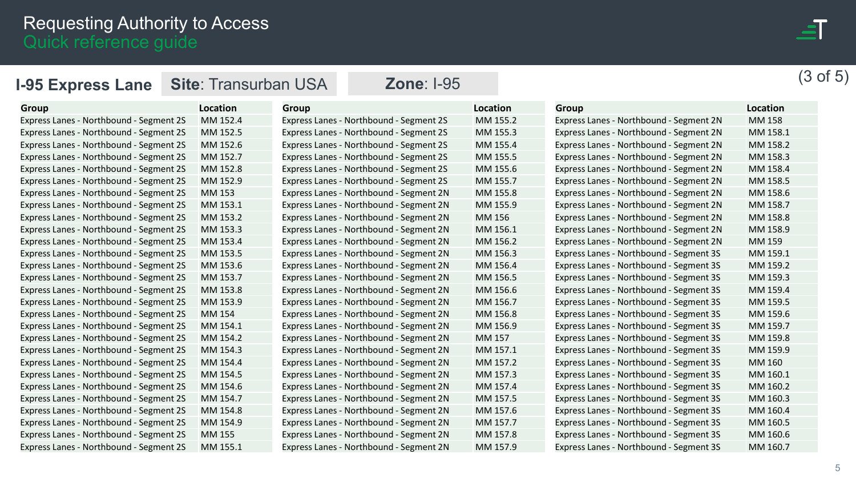# $\equiv$   $\top$

| <b>I-95 Express Lane</b>                | <b>Site: Transurban USA</b> |              | <b>Zone: I-95</b>                       |                 |                                         |                 | $(3 \text{ of } 5)$ |
|-----------------------------------------|-----------------------------|--------------|-----------------------------------------|-----------------|-----------------------------------------|-----------------|---------------------|
| <b>Group</b>                            | Location                    | <b>Group</b> |                                         | <b>Location</b> | <b>Group</b>                            | <b>Location</b> |                     |
| Express Lanes - Northbound - Segment 2S | MM 152.4                    |              | Express Lanes - Northbound - Segment 2S | MM 155.2        | Express Lanes - Northbound - Segment 2N | MM 158          |                     |
| Express Lanes - Northbound - Segment 2S | MM 152.5                    |              | Express Lanes - Northbound - Segment 2S | MM 155.3        | Express Lanes - Northbound - Segment 2N | MM 158.1        |                     |
| Express Lanes - Northbound - Segment 2S | MM 152.6                    |              | Express Lanes - Northbound - Segment 2S | MM 155.4        | Express Lanes - Northbound - Segment 2N | MM 158.2        |                     |
| Express Lanes - Northbound - Segment 2S | MM 152.7                    |              | Express Lanes - Northbound - Segment 2S | MM 155.5        | Express Lanes - Northbound - Segment 2N | MM 158.3        |                     |
| Express Lanes - Northbound - Segment 2S | MM 152.8                    |              | Express Lanes - Northbound - Segment 2S | MM 155.6        | Express Lanes - Northbound - Segment 2N | MM 158.4        |                     |
| Express Lanes - Northbound - Segment 2S | MM 152.9                    |              | Express Lanes - Northbound - Segment 2S | MM 155.7        | Express Lanes - Northbound - Segment 2N | MM 158.5        |                     |
| Express Lanes - Northbound - Segment 2S | MM 153                      |              | Express Lanes - Northbound - Segment 2N | MM 155.8        | Express Lanes - Northbound - Segment 2N | MM 158.6        |                     |
| Express Lanes - Northbound - Segment 2S | MM 153.1                    |              | Express Lanes - Northbound - Segment 2N | MM 155.9        | Express Lanes - Northbound - Segment 2N | MM 158.7        |                     |
| Express Lanes - Northbound - Segment 2S | MM 153.2                    |              | Express Lanes - Northbound - Segment 2N | MM 156          | Express Lanes - Northbound - Segment 2N | MM 158.8        |                     |
| Express Lanes - Northbound - Segment 2S | MM 153.3                    |              | Express Lanes - Northbound - Segment 2N | MM 156.1        | Express Lanes - Northbound - Segment 2N | MM 158.9        |                     |
| Express Lanes - Northbound - Segment 2S | MM 153.4                    |              | Express Lanes - Northbound - Segment 2N | MM 156.2        | Express Lanes - Northbound - Segment 2N | MM 159          |                     |
| Express Lanes - Northbound - Segment 2S | MM 153.5                    |              | Express Lanes - Northbound - Segment 2N | MM 156.3        | Express Lanes - Northbound - Segment 3S | MM 159.1        |                     |
| Express Lanes - Northbound - Segment 2S | MM 153.6                    |              | Express Lanes - Northbound - Segment 2N | MM 156.4        | Express Lanes - Northbound - Segment 3S | MM 159.2        |                     |
| Express Lanes - Northbound - Segment 2S | MM 153.7                    |              | Express Lanes - Northbound - Segment 2N | MM 156.5        | Express Lanes - Northbound - Segment 3S | MM 159.3        |                     |
| Express Lanes - Northbound - Segment 2S | MM 153.8                    |              | Express Lanes - Northbound - Segment 2N | MM 156.6        | Express Lanes - Northbound - Segment 3S | MM 159.4        |                     |
| Express Lanes - Northbound - Segment 2S | MM 153.9                    |              | Express Lanes - Northbound - Segment 2N | MM 156.7        | Express Lanes - Northbound - Segment 3S | MM 159.5        |                     |
| Express Lanes - Northbound - Segment 2S | MM 154                      |              | Express Lanes - Northbound - Segment 2N | MM 156.8        | Express Lanes - Northbound - Segment 3S | MM 159.6        |                     |
| Express Lanes - Northbound - Segment 2S | MM 154.1                    |              | Express Lanes - Northbound - Segment 2N | MM 156.9        | Express Lanes - Northbound - Segment 3S | MM 159.7        |                     |
| Express Lanes - Northbound - Segment 2S | MM 154.2                    |              | Express Lanes - Northbound - Segment 2N | MM 157          | Express Lanes - Northbound - Segment 3S | MM 159.8        |                     |
| Express Lanes - Northbound - Segment 2S | MM 154.3                    |              | Express Lanes - Northbound - Segment 2N | MM 157.1        | Express Lanes - Northbound - Segment 3S | MM 159.9        |                     |
| Express Lanes - Northbound - Segment 2S | MM 154.4                    |              | Express Lanes - Northbound - Segment 2N | MM 157.2        | Express Lanes - Northbound - Segment 3S | MM 160          |                     |
| Express Lanes - Northbound - Segment 2S | MM 154.5                    |              | Express Lanes - Northbound - Segment 2N | MM 157.3        | Express Lanes - Northbound - Segment 3S | MM 160.1        |                     |
| Express Lanes - Northbound - Segment 2S | MM 154.6                    |              | Express Lanes - Northbound - Segment 2N | MM 157.4        | Express Lanes - Northbound - Segment 3S | MM 160.2        |                     |
| Express Lanes - Northbound - Segment 2S | MM 154.7                    |              | Express Lanes - Northbound - Segment 2N | MM 157.5        | Express Lanes - Northbound - Segment 3S | MM 160.3        |                     |
| Express Lanes - Northbound - Segment 2S | MM 154.8                    |              | Express Lanes - Northbound - Segment 2N | MM 157.6        | Express Lanes - Northbound - Segment 3S | MM 160.4        |                     |
| Express Lanes - Northbound - Segment 2S | MM 154.9                    |              | Express Lanes - Northbound - Segment 2N | MM 157.7        | Express Lanes - Northbound - Segment 3S | MM 160.5        |                     |
| Express Lanes - Northbound - Segment 2S | MM 155                      |              | Express Lanes - Northbound - Segment 2N | MM 157.8        | Express Lanes - Northbound - Segment 3S | MM 160.6        |                     |
| Express Lanes - Northbound - Segment 2S | MM 155.1                    |              | Express Lanes - Northbound - Segment 2N | MM 157.9        | Express Lanes - Northbound - Segment 3S | MM 160.7        |                     |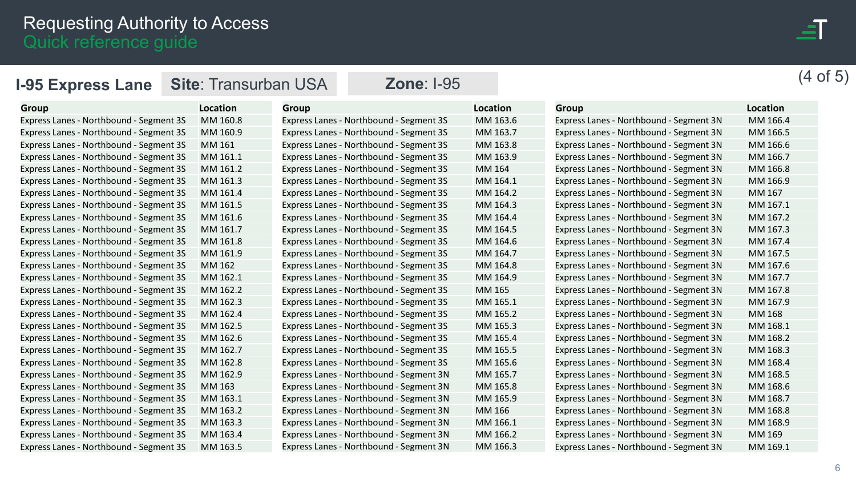# $\equiv$ T

| <b>I-95 Express Lane</b>                | <b>Site: Transurban USA</b> |              | <b>Zone: I-95</b>                       |          |                                         |          | $(4 \nof 5)$ |
|-----------------------------------------|-----------------------------|--------------|-----------------------------------------|----------|-----------------------------------------|----------|--------------|
| <b>Group</b>                            | Location                    | <b>Group</b> |                                         | Location | <b>Group</b>                            | Location |              |
| Express Lanes - Northbound - Segment 3S | MM 160.8                    |              | Express Lanes - Northbound - Segment 3S | MM 163.6 | Express Lanes - Northbound - Segment 3N | MM 166.4 |              |
| Express Lanes - Northbound - Segment 3S | MM 160.9                    |              | Express Lanes - Northbound - Segment 3S | MM 163.7 | Express Lanes - Northbound - Segment 3N | MM 166.5 |              |
| Express Lanes - Northbound - Segment 3S | MM 161                      |              | Express Lanes - Northbound - Segment 3S | MM 163.8 | Express Lanes - Northbound - Segment 3N | MM 166.6 |              |
| Express Lanes - Northbound - Segment 3S | MM 161.1                    |              | Express Lanes - Northbound - Segment 3S | MM 163.9 | Express Lanes - Northbound - Segment 3N | MM 166.7 |              |
| Express Lanes - Northbound - Segment 3S | MM 161.2                    |              | Express Lanes - Northbound - Segment 3S | MM 164   | Express Lanes - Northbound - Segment 3N | MM 166.8 |              |
| Express Lanes - Northbound - Segment 3S | MM 161.3                    |              | Express Lanes - Northbound - Segment 3S | MM 164.1 | Express Lanes - Northbound - Segment 3N | MM 166.9 |              |
| Express Lanes - Northbound - Segment 3S | MM 161.4                    |              | Express Lanes - Northbound - Segment 3S | MM 164.2 | Express Lanes - Northbound - Segment 3N | MM 167   |              |
| Express Lanes - Northbound - Segment 3S | MM 161.5                    |              | Express Lanes - Northbound - Segment 3S | MM 164.3 | Express Lanes - Northbound - Segment 3N | MM 167.1 |              |
| Express Lanes - Northbound - Segment 3S | MM 161.6                    |              | Express Lanes - Northbound - Segment 3S | MM 164.4 | Express Lanes - Northbound - Segment 3N | MM 167.2 |              |
| Express Lanes - Northbound - Segment 3S | MM 161.7                    |              | Express Lanes - Northbound - Segment 3S | MM 164.5 | Express Lanes - Northbound - Segment 3N | MM 167.3 |              |
| Express Lanes - Northbound - Segment 3S | MM 161.8                    |              | Express Lanes - Northbound - Segment 3S | MM 164.6 | Express Lanes - Northbound - Segment 3N | MM 167.4 |              |
| Express Lanes - Northbound - Segment 3S | MM 161.9                    |              | Express Lanes - Northbound - Segment 3S | MM 164.7 | Express Lanes - Northbound - Segment 3N | MM 167.5 |              |
| Express Lanes - Northbound - Segment 3S | MM 162                      |              | Express Lanes - Northbound - Segment 3S | MM 164.8 | Express Lanes - Northbound - Segment 3N | MM 167.6 |              |
| Express Lanes - Northbound - Segment 3S | MM 162.1                    |              | Express Lanes - Northbound - Segment 3S | MM 164.9 | Express Lanes - Northbound - Segment 3N | MM 167.7 |              |
| Express Lanes - Northbound - Segment 3S | MM 162.2                    |              | Express Lanes - Northbound - Segment 3S | MM 165   | Express Lanes - Northbound - Segment 3N | MM 167.8 |              |
| Express Lanes - Northbound - Segment 3S | MM 162.3                    |              | Express Lanes - Northbound - Segment 3S | MM 165.1 | Express Lanes - Northbound - Segment 3N | MM 167.9 |              |
| Express Lanes - Northbound - Segment 3S | MM 162.4                    |              | Express Lanes - Northbound - Segment 3S | MM 165.2 | Express Lanes - Northbound - Segment 3N | MM 168   |              |
| Express Lanes - Northbound - Segment 3S | MM 162.5                    |              | Express Lanes - Northbound - Segment 3S | MM 165.3 | Express Lanes - Northbound - Segment 3N | MM 168.1 |              |
| Express Lanes - Northbound - Segment 3S | MM 162.6                    |              | Express Lanes - Northbound - Segment 3S | MM 165.4 | Express Lanes - Northbound - Segment 3N | MM 168.2 |              |
| Express Lanes - Northbound - Segment 3S | MM 162.7                    |              | Express Lanes - Northbound - Segment 3S | MM 165.5 | Express Lanes - Northbound - Segment 3N | MM 168.3 |              |
| Express Lanes - Northbound - Segment 3S | MM 162.8                    |              | Express Lanes - Northbound - Segment 3S | MM 165.6 | Express Lanes - Northbound - Segment 3N | MM 168.4 |              |
| Express Lanes - Northbound - Segment 3S | MM 162.9                    |              | Express Lanes - Northbound - Segment 3N | MM 165.7 | Express Lanes - Northbound - Segment 3N | MM 168.5 |              |
| Express Lanes - Northbound - Segment 3S | MM 163                      |              | Express Lanes - Northbound - Segment 3N | MM 165.8 | Express Lanes - Northbound - Segment 3N | MM 168.6 |              |
| Express Lanes - Northbound - Segment 3S | MM 163.1                    |              | Express Lanes - Northbound - Segment 3N | MM 165.9 | Express Lanes - Northbound - Segment 3N | MM 168.7 |              |
| Express Lanes - Northbound - Segment 3S | MM 163.2                    |              | Express Lanes - Northbound - Segment 3N | MM 166   | Express Lanes - Northbound - Segment 3N | MM 168.8 |              |
| Express Lanes - Northbound - Segment 3S | MM 163.3                    |              | Express Lanes - Northbound - Segment 3N | MM 166.1 | Express Lanes - Northbound - Segment 3N | MM 168.9 |              |
| Express Lanes - Northbound - Segment 3S | MM 163.4                    |              | Express Lanes - Northbound - Segment 3N | MM 166.2 | Express Lanes - Northbound - Segment 3N | MM 169   |              |
| Express Lanes - Northbound - Segment 3S | MM 163.5                    |              | Express Lanes - Northbound - Segment 3N | MM 166.3 | Express Lanes - Northbound - Segment 3N | MM 169.1 |              |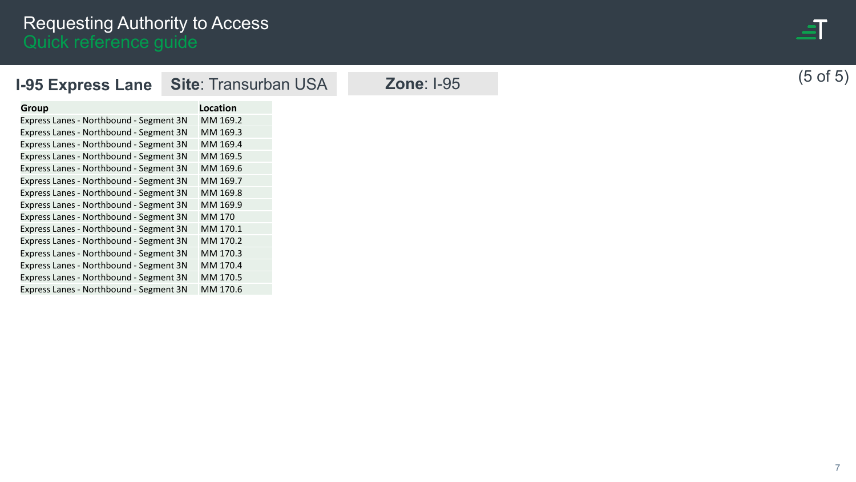| ___<br>__<br>-- |
|-----------------|
| _____<br>_____  |
| ______          |
|                 |
|                 |

| <b>I-95 Express Lane</b>                | <b>Site: Transurban USA</b> | <b>Zone: I-95</b> |
|-----------------------------------------|-----------------------------|-------------------|
| <b>Group</b>                            | Location                    |                   |
| Express Lanes - Northbound - Segment 3N | MM 169.2                    |                   |
| Express Lanes - Northbound - Segment 3N | MM 169.3                    |                   |
| Express Lanes - Northbound - Segment 3N | MM 169.4                    |                   |
| Express Lanes - Northbound - Segment 3N | MM 169.5                    |                   |
| Express Lanes - Northbound - Segment 3N | MM 169.6                    |                   |
| Express Lanes - Northbound - Segment 3N | MM 169.7                    |                   |
| Express Lanes - Northbound - Segment 3N | MM 169.8                    |                   |
| Express Lanes - Northbound - Segment 3N | MM 169.9                    |                   |
| Express Lanes - Northbound - Segment 3N | MM 170                      |                   |
| Express Lanes - Northbound - Segment 3N | MM 170.1                    |                   |
| Express Lanes - Northbound - Segment 3N | MM 170.2                    |                   |
| Express Lanes - Northbound - Segment 3N | MM 170.3                    |                   |
| Express Lanes - Northbound - Segment 3N | MM 170.4                    |                   |
| Express Lanes - Northbound - Segment 3N | MM 170.5                    |                   |
| Express Lanes - Northbound - Segment 3N | MM 170.6                    |                   |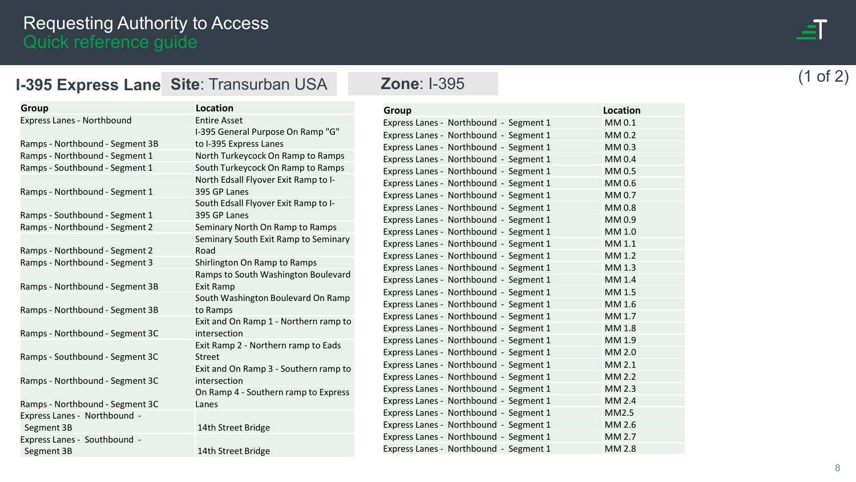**Location** 

MM 0.1

MM 0.2

MM 0.3

MM 0.4

MM 0.5

MM 0.6

MM 0.7

MM 0.8

MM 0.9

MM 1.0

MM 1.1

MM 1.2

MM 1.3

MM 1.4

MM 1.5

MM 1.6

MM 1.7

MM 1.8

MM 1.9

MM 2.0

MM 2.1

MM 2.2

MM 2.3

MM 2.4

MM2.5

MM 2.6

MM 2.7

MM 2.8

## <span id="page-7-0"></span>**I -395 Express Lane Site**: Transurban USA **Zone**: I

Zone: I-395

| <b>Group</b>                      | <b>Location</b>                       | <b>Group</b>                         |
|-----------------------------------|---------------------------------------|--------------------------------------|
| <b>Express Lanes - Northbound</b> | <b>Entire Asset</b>                   | Express Lanes - Northbound - Segment |
|                                   | I-395 General Purpose On Ramp "G"     | Express Lanes - Northbound - Segment |
| Ramps - Northbound - Segment 3B   | to I-395 Express Lanes                | Express Lanes - Northbound - Segment |
| Ramps - Northbound - Segment 1    | North Turkeycock On Ramp to Ramps     | Express Lanes - Northbound - Segment |
| Ramps - Southbound - Segment 1    | South Turkeycock On Ramp to Ramps     | Express Lanes - Northbound - Segment |
|                                   | North Edsall Flyover Exit Ramp to I-  | Express Lanes - Northbound - Segment |
| Ramps - Northbound - Segment 1    | 395 GP Lanes                          | Express Lanes - Northbound - Segment |
|                                   | South Edsall Flyover Exit Ramp to I-  | Express Lanes - Northbound - Segment |
| Ramps - Southbound - Segment 1    | 395 GP Lanes                          | Express Lanes - Northbound - Segment |
| Ramps - Northbound - Segment 2    | Seminary North On Ramp to Ramps       | Express Lanes - Northbound - Segment |
|                                   | Seminary South Exit Ramp to Seminary  | Express Lanes - Northbound - Segment |
| Ramps - Northbound - Segment 2    | Road                                  | Express Lanes - Northbound - Segment |
| Ramps - Northbound - Segment 3    | Shirlington On Ramp to Ramps          | Express Lanes - Northbound - Segment |
|                                   | Ramps to South Washington Boulevard   | Express Lanes - Northbound - Segment |
| Ramps - Northbound - Segment 3B   | Exit Ramp                             | Express Lanes - Northbound - Segment |
|                                   | South Washington Boulevard On Ramp    | Express Lanes - Northbound - Segment |
| Ramps - Northbound - Segment 3B   | to Ramps                              | Express Lanes - Northbound - Segment |
|                                   | Exit and On Ramp 1 - Northern ramp to | Express Lanes - Northbound - Segment |
| Ramps - Northbound - Segment 3C   | intersection                          | Express Lanes - Northbound - Segment |
|                                   | Exit Ramp 2 - Northern ramp to Eads   | Express Lanes - Northbound - Segment |
| Ramps - Southbound - Segment 3C   | <b>Street</b>                         | Express Lanes - Northbound - Segment |
|                                   | Exit and On Ramp 3 - Southern ramp to | Express Lanes - Northbound - Segment |
| Ramps - Northbound - Segment 3C   | intersection                          | Express Lanes - Northbound - Segment |
|                                   | On Ramp 4 - Southern ramp to Express  | Express Lanes - Northbound - Segment |
| Ramps - Northbound - Segment 3C   | Lanes                                 | Express Lanes - Northbound - Segment |
| Express Lanes - Northbound -      |                                       | Express Lanes - Northbound - Segment |
| Segment 3B                        | 14th Street Bridge                    | Express Lanes - Northbound - Segment |
| Express Lanes - Southbound -      |                                       | Express Lanes - Northbound - Segment |
| Segment 3B                        | 14th Street Bridge                    |                                      |

## (1 of 2)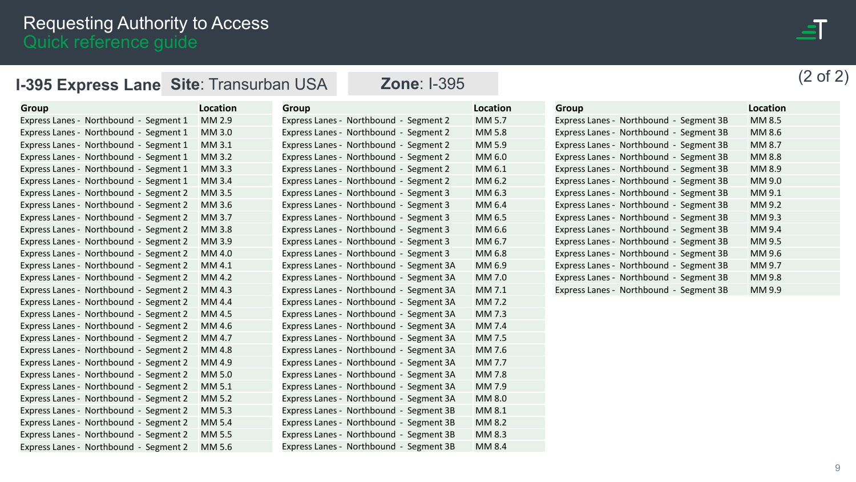# (2 of 2) **I-395 Express Lane Site**: Transurban USA **Zone**: I-395

| MM 2.9<br>Express Lanes - Northbound - Segment 2<br>MM 5.7<br>Express Lanes - Northbound - Segment 1<br>Express Lanes - Northbound - Segment 1<br>MM 3.0<br>Express Lanes - Northbound - Segment 2<br>MM 5.8<br>Express Lanes - Northbound - Segment 1<br>MM 3.1<br>Express Lanes - Northbound - Segment 2<br>MM 5.9<br>Express Lanes - Northbound - Segment 1<br>MM 3.2<br>Express Lanes - Northbound - Segment 2<br>MM 6.0<br>Express Lanes - Northbound - Segment 2<br>Express Lanes - Northbound - Segment 1<br>MM 3.3<br>MM 6.1<br>Express Lanes - Northbound - Segment 2<br>MM 6.2<br>Express Lanes - Northbound - Segment 1<br>MM 3.4<br>Express Lanes - Northbound - Segment 2<br>MM 3.5<br>Express Lanes - Northbound - Segment 3<br>MM 6.3<br>Express Lanes - Northbound - Segment 2<br>MM 3.6<br>Express Lanes - Northbound - Segment 3<br>MM 6.4<br>Express Lanes - Northbound - Segment 2<br>MM 3.7<br>Express Lanes - Northbound - Segment 3<br>MM 6.5<br>Express Lanes - Northbound - Segment 2<br>MM 3.8<br>Express Lanes - Northbound - Segment 3<br>MM 6.6<br>Express Lanes - Northbound - Segment 2<br>MM 3.9<br>Express Lanes - Northbound - Segment 3<br>MM 6.7<br>Express Lanes - Northbound - Segment 2<br>MM 4.0<br>Express Lanes - Northbound - Segment 3<br>MM 6.8<br>Express Lanes - Northbound - Segment 2<br>MM 4.1<br>Express Lanes - Northbound - Segment 3A<br>MM 6.9<br>Express Lanes - Northbound - Segment 2<br>MM 4.2<br>Express Lanes - Northbound - Segment 3A<br>MM 7.0<br>Express Lanes - Northbound - Segment 2<br>MM 4.3<br>Express Lanes - Northbound - Segment 3A<br>MM 7.1<br>Express Lanes - Northbound - Segment 2<br>Express Lanes - Northbound - Segment 3A<br>MM 4.4<br>MM 7.2<br>Express Lanes - Northbound - Segment 2<br>Express Lanes - Northbound - Segment 3A<br>MM 4.5<br>MM 7.3<br>Express Lanes - Northbound - Segment 2<br>MM 4.6<br>Express Lanes - Northbound - Segment 3A<br>MM 7.4<br>Express Lanes - Northbound - Segment 2<br>MM 4.7<br>Express Lanes - Northbound - Segment 3A<br>MM 7.5<br>MM 4.8<br>Express Lanes - Northbound - Segment 3A<br>MM 7.6<br>Express Lanes - Northbound - Segment 2<br>MM 4.9<br>Express Lanes - Northbound - Segment 2<br>Express Lanes - Northbound - Segment 3A<br>MM 7.7<br>Express Lanes - Northbound - Segment 2<br>MM 5.0<br>Express Lanes - Northbound - Segment 3A<br>MM 7.8<br>Express Lanes - Northbound - Segment 2<br>MM 5.1<br>Express Lanes - Northbound - Segment 3A<br>MM 7.9<br>Express Lanes - Northbound - Segment 2<br>MM 5.2<br>Express Lanes - Northbound - Segment 3A<br>MM 8.0<br>Express Lanes - Northbound - Segment 2<br>MM 5.3<br>Express Lanes - Northbound - Segment 3B<br>MM 8.1<br>MM 5.4<br>Express Lanes - Northbound - Segment 2<br>Express Lanes - Northbound - Segment 3B<br>MM 8.2<br>MM 8.3<br>MM 5.5<br>Express Lanes - Northbound - Segment 3B<br>Express Lanes - Northbound - Segment 2 | <b>Group</b>                           | <b>Location</b> | <b>Group</b>                            | <b>Location</b> |
|-------------------------------------------------------------------------------------------------------------------------------------------------------------------------------------------------------------------------------------------------------------------------------------------------------------------------------------------------------------------------------------------------------------------------------------------------------------------------------------------------------------------------------------------------------------------------------------------------------------------------------------------------------------------------------------------------------------------------------------------------------------------------------------------------------------------------------------------------------------------------------------------------------------------------------------------------------------------------------------------------------------------------------------------------------------------------------------------------------------------------------------------------------------------------------------------------------------------------------------------------------------------------------------------------------------------------------------------------------------------------------------------------------------------------------------------------------------------------------------------------------------------------------------------------------------------------------------------------------------------------------------------------------------------------------------------------------------------------------------------------------------------------------------------------------------------------------------------------------------------------------------------------------------------------------------------------------------------------------------------------------------------------------------------------------------------------------------------------------------------------------------------------------------------------------------------------------------------------------------------------------------------------------------------------------------------------------------------------------------------------------------------------------------------------------------------------------------------------------------------------------------------------------------------------------------------------------------------------------------------------------------------------------------------------------------------------------------------------------------------------------------------------------------------------------------------------------------------------------------------------------------------------------------------------------------|----------------------------------------|-----------------|-----------------------------------------|-----------------|
|                                                                                                                                                                                                                                                                                                                                                                                                                                                                                                                                                                                                                                                                                                                                                                                                                                                                                                                                                                                                                                                                                                                                                                                                                                                                                                                                                                                                                                                                                                                                                                                                                                                                                                                                                                                                                                                                                                                                                                                                                                                                                                                                                                                                                                                                                                                                                                                                                                                                                                                                                                                                                                                                                                                                                                                                                                                                                                                                     |                                        |                 |                                         |                 |
|                                                                                                                                                                                                                                                                                                                                                                                                                                                                                                                                                                                                                                                                                                                                                                                                                                                                                                                                                                                                                                                                                                                                                                                                                                                                                                                                                                                                                                                                                                                                                                                                                                                                                                                                                                                                                                                                                                                                                                                                                                                                                                                                                                                                                                                                                                                                                                                                                                                                                                                                                                                                                                                                                                                                                                                                                                                                                                                                     |                                        |                 |                                         |                 |
|                                                                                                                                                                                                                                                                                                                                                                                                                                                                                                                                                                                                                                                                                                                                                                                                                                                                                                                                                                                                                                                                                                                                                                                                                                                                                                                                                                                                                                                                                                                                                                                                                                                                                                                                                                                                                                                                                                                                                                                                                                                                                                                                                                                                                                                                                                                                                                                                                                                                                                                                                                                                                                                                                                                                                                                                                                                                                                                                     |                                        |                 |                                         |                 |
|                                                                                                                                                                                                                                                                                                                                                                                                                                                                                                                                                                                                                                                                                                                                                                                                                                                                                                                                                                                                                                                                                                                                                                                                                                                                                                                                                                                                                                                                                                                                                                                                                                                                                                                                                                                                                                                                                                                                                                                                                                                                                                                                                                                                                                                                                                                                                                                                                                                                                                                                                                                                                                                                                                                                                                                                                                                                                                                                     |                                        |                 |                                         |                 |
|                                                                                                                                                                                                                                                                                                                                                                                                                                                                                                                                                                                                                                                                                                                                                                                                                                                                                                                                                                                                                                                                                                                                                                                                                                                                                                                                                                                                                                                                                                                                                                                                                                                                                                                                                                                                                                                                                                                                                                                                                                                                                                                                                                                                                                                                                                                                                                                                                                                                                                                                                                                                                                                                                                                                                                                                                                                                                                                                     |                                        |                 |                                         |                 |
|                                                                                                                                                                                                                                                                                                                                                                                                                                                                                                                                                                                                                                                                                                                                                                                                                                                                                                                                                                                                                                                                                                                                                                                                                                                                                                                                                                                                                                                                                                                                                                                                                                                                                                                                                                                                                                                                                                                                                                                                                                                                                                                                                                                                                                                                                                                                                                                                                                                                                                                                                                                                                                                                                                                                                                                                                                                                                                                                     |                                        |                 |                                         |                 |
|                                                                                                                                                                                                                                                                                                                                                                                                                                                                                                                                                                                                                                                                                                                                                                                                                                                                                                                                                                                                                                                                                                                                                                                                                                                                                                                                                                                                                                                                                                                                                                                                                                                                                                                                                                                                                                                                                                                                                                                                                                                                                                                                                                                                                                                                                                                                                                                                                                                                                                                                                                                                                                                                                                                                                                                                                                                                                                                                     |                                        |                 |                                         |                 |
|                                                                                                                                                                                                                                                                                                                                                                                                                                                                                                                                                                                                                                                                                                                                                                                                                                                                                                                                                                                                                                                                                                                                                                                                                                                                                                                                                                                                                                                                                                                                                                                                                                                                                                                                                                                                                                                                                                                                                                                                                                                                                                                                                                                                                                                                                                                                                                                                                                                                                                                                                                                                                                                                                                                                                                                                                                                                                                                                     |                                        |                 |                                         |                 |
|                                                                                                                                                                                                                                                                                                                                                                                                                                                                                                                                                                                                                                                                                                                                                                                                                                                                                                                                                                                                                                                                                                                                                                                                                                                                                                                                                                                                                                                                                                                                                                                                                                                                                                                                                                                                                                                                                                                                                                                                                                                                                                                                                                                                                                                                                                                                                                                                                                                                                                                                                                                                                                                                                                                                                                                                                                                                                                                                     |                                        |                 |                                         |                 |
|                                                                                                                                                                                                                                                                                                                                                                                                                                                                                                                                                                                                                                                                                                                                                                                                                                                                                                                                                                                                                                                                                                                                                                                                                                                                                                                                                                                                                                                                                                                                                                                                                                                                                                                                                                                                                                                                                                                                                                                                                                                                                                                                                                                                                                                                                                                                                                                                                                                                                                                                                                                                                                                                                                                                                                                                                                                                                                                                     |                                        |                 |                                         |                 |
|                                                                                                                                                                                                                                                                                                                                                                                                                                                                                                                                                                                                                                                                                                                                                                                                                                                                                                                                                                                                                                                                                                                                                                                                                                                                                                                                                                                                                                                                                                                                                                                                                                                                                                                                                                                                                                                                                                                                                                                                                                                                                                                                                                                                                                                                                                                                                                                                                                                                                                                                                                                                                                                                                                                                                                                                                                                                                                                                     |                                        |                 |                                         |                 |
|                                                                                                                                                                                                                                                                                                                                                                                                                                                                                                                                                                                                                                                                                                                                                                                                                                                                                                                                                                                                                                                                                                                                                                                                                                                                                                                                                                                                                                                                                                                                                                                                                                                                                                                                                                                                                                                                                                                                                                                                                                                                                                                                                                                                                                                                                                                                                                                                                                                                                                                                                                                                                                                                                                                                                                                                                                                                                                                                     |                                        |                 |                                         |                 |
|                                                                                                                                                                                                                                                                                                                                                                                                                                                                                                                                                                                                                                                                                                                                                                                                                                                                                                                                                                                                                                                                                                                                                                                                                                                                                                                                                                                                                                                                                                                                                                                                                                                                                                                                                                                                                                                                                                                                                                                                                                                                                                                                                                                                                                                                                                                                                                                                                                                                                                                                                                                                                                                                                                                                                                                                                                                                                                                                     |                                        |                 |                                         |                 |
|                                                                                                                                                                                                                                                                                                                                                                                                                                                                                                                                                                                                                                                                                                                                                                                                                                                                                                                                                                                                                                                                                                                                                                                                                                                                                                                                                                                                                                                                                                                                                                                                                                                                                                                                                                                                                                                                                                                                                                                                                                                                                                                                                                                                                                                                                                                                                                                                                                                                                                                                                                                                                                                                                                                                                                                                                                                                                                                                     |                                        |                 |                                         |                 |
|                                                                                                                                                                                                                                                                                                                                                                                                                                                                                                                                                                                                                                                                                                                                                                                                                                                                                                                                                                                                                                                                                                                                                                                                                                                                                                                                                                                                                                                                                                                                                                                                                                                                                                                                                                                                                                                                                                                                                                                                                                                                                                                                                                                                                                                                                                                                                                                                                                                                                                                                                                                                                                                                                                                                                                                                                                                                                                                                     |                                        |                 |                                         |                 |
|                                                                                                                                                                                                                                                                                                                                                                                                                                                                                                                                                                                                                                                                                                                                                                                                                                                                                                                                                                                                                                                                                                                                                                                                                                                                                                                                                                                                                                                                                                                                                                                                                                                                                                                                                                                                                                                                                                                                                                                                                                                                                                                                                                                                                                                                                                                                                                                                                                                                                                                                                                                                                                                                                                                                                                                                                                                                                                                                     |                                        |                 |                                         |                 |
|                                                                                                                                                                                                                                                                                                                                                                                                                                                                                                                                                                                                                                                                                                                                                                                                                                                                                                                                                                                                                                                                                                                                                                                                                                                                                                                                                                                                                                                                                                                                                                                                                                                                                                                                                                                                                                                                                                                                                                                                                                                                                                                                                                                                                                                                                                                                                                                                                                                                                                                                                                                                                                                                                                                                                                                                                                                                                                                                     |                                        |                 |                                         |                 |
|                                                                                                                                                                                                                                                                                                                                                                                                                                                                                                                                                                                                                                                                                                                                                                                                                                                                                                                                                                                                                                                                                                                                                                                                                                                                                                                                                                                                                                                                                                                                                                                                                                                                                                                                                                                                                                                                                                                                                                                                                                                                                                                                                                                                                                                                                                                                                                                                                                                                                                                                                                                                                                                                                                                                                                                                                                                                                                                                     |                                        |                 |                                         |                 |
|                                                                                                                                                                                                                                                                                                                                                                                                                                                                                                                                                                                                                                                                                                                                                                                                                                                                                                                                                                                                                                                                                                                                                                                                                                                                                                                                                                                                                                                                                                                                                                                                                                                                                                                                                                                                                                                                                                                                                                                                                                                                                                                                                                                                                                                                                                                                                                                                                                                                                                                                                                                                                                                                                                                                                                                                                                                                                                                                     |                                        |                 |                                         |                 |
|                                                                                                                                                                                                                                                                                                                                                                                                                                                                                                                                                                                                                                                                                                                                                                                                                                                                                                                                                                                                                                                                                                                                                                                                                                                                                                                                                                                                                                                                                                                                                                                                                                                                                                                                                                                                                                                                                                                                                                                                                                                                                                                                                                                                                                                                                                                                                                                                                                                                                                                                                                                                                                                                                                                                                                                                                                                                                                                                     |                                        |                 |                                         |                 |
|                                                                                                                                                                                                                                                                                                                                                                                                                                                                                                                                                                                                                                                                                                                                                                                                                                                                                                                                                                                                                                                                                                                                                                                                                                                                                                                                                                                                                                                                                                                                                                                                                                                                                                                                                                                                                                                                                                                                                                                                                                                                                                                                                                                                                                                                                                                                                                                                                                                                                                                                                                                                                                                                                                                                                                                                                                                                                                                                     |                                        |                 |                                         |                 |
|                                                                                                                                                                                                                                                                                                                                                                                                                                                                                                                                                                                                                                                                                                                                                                                                                                                                                                                                                                                                                                                                                                                                                                                                                                                                                                                                                                                                                                                                                                                                                                                                                                                                                                                                                                                                                                                                                                                                                                                                                                                                                                                                                                                                                                                                                                                                                                                                                                                                                                                                                                                                                                                                                                                                                                                                                                                                                                                                     |                                        |                 |                                         |                 |
|                                                                                                                                                                                                                                                                                                                                                                                                                                                                                                                                                                                                                                                                                                                                                                                                                                                                                                                                                                                                                                                                                                                                                                                                                                                                                                                                                                                                                                                                                                                                                                                                                                                                                                                                                                                                                                                                                                                                                                                                                                                                                                                                                                                                                                                                                                                                                                                                                                                                                                                                                                                                                                                                                                                                                                                                                                                                                                                                     |                                        |                 |                                         |                 |
|                                                                                                                                                                                                                                                                                                                                                                                                                                                                                                                                                                                                                                                                                                                                                                                                                                                                                                                                                                                                                                                                                                                                                                                                                                                                                                                                                                                                                                                                                                                                                                                                                                                                                                                                                                                                                                                                                                                                                                                                                                                                                                                                                                                                                                                                                                                                                                                                                                                                                                                                                                                                                                                                                                                                                                                                                                                                                                                                     |                                        |                 |                                         |                 |
|                                                                                                                                                                                                                                                                                                                                                                                                                                                                                                                                                                                                                                                                                                                                                                                                                                                                                                                                                                                                                                                                                                                                                                                                                                                                                                                                                                                                                                                                                                                                                                                                                                                                                                                                                                                                                                                                                                                                                                                                                                                                                                                                                                                                                                                                                                                                                                                                                                                                                                                                                                                                                                                                                                                                                                                                                                                                                                                                     |                                        |                 |                                         |                 |
|                                                                                                                                                                                                                                                                                                                                                                                                                                                                                                                                                                                                                                                                                                                                                                                                                                                                                                                                                                                                                                                                                                                                                                                                                                                                                                                                                                                                                                                                                                                                                                                                                                                                                                                                                                                                                                                                                                                                                                                                                                                                                                                                                                                                                                                                                                                                                                                                                                                                                                                                                                                                                                                                                                                                                                                                                                                                                                                                     |                                        |                 |                                         |                 |
|                                                                                                                                                                                                                                                                                                                                                                                                                                                                                                                                                                                                                                                                                                                                                                                                                                                                                                                                                                                                                                                                                                                                                                                                                                                                                                                                                                                                                                                                                                                                                                                                                                                                                                                                                                                                                                                                                                                                                                                                                                                                                                                                                                                                                                                                                                                                                                                                                                                                                                                                                                                                                                                                                                                                                                                                                                                                                                                                     |                                        |                 |                                         |                 |
|                                                                                                                                                                                                                                                                                                                                                                                                                                                                                                                                                                                                                                                                                                                                                                                                                                                                                                                                                                                                                                                                                                                                                                                                                                                                                                                                                                                                                                                                                                                                                                                                                                                                                                                                                                                                                                                                                                                                                                                                                                                                                                                                                                                                                                                                                                                                                                                                                                                                                                                                                                                                                                                                                                                                                                                                                                                                                                                                     | Express Lanes - Northbound - Segment 2 | MM 5.6          | Express Lanes - Northbound - Segment 3B | MM 8.4          |

| <b>Group</b>                            | <b>Location</b> |
|-----------------------------------------|-----------------|
| Express Lanes - Northbound - Segment 3B | MM 8.5          |
| Express Lanes - Northbound - Segment 3B | MM 8.6          |
| Express Lanes - Northbound - Segment 3B | MM 8.7          |
| Express Lanes - Northbound - Segment 3B | <b>MM8.8</b>    |
| Express Lanes - Northbound - Segment 3B | MM 8.9          |
| Express Lanes - Northbound - Segment 3B | MM 9.0          |
| Express Lanes - Northbound - Segment 3B | MM 9.1          |
| Express Lanes - Northbound - Segment 3B | MM 9.2          |
| Express Lanes - Northbound - Segment 3B | MM 9.3          |
| Express Lanes - Northbound - Segment 3B | MM 9.4          |
| Express Lanes - Northbound - Segment 3B | MM 9.5          |
| Express Lanes - Northbound - Segment 3B | MM 9.6          |
| Express Lanes - Northbound - Segment 3B | MM 9.7          |
| Express Lanes - Northbound - Segment 3B | MM 9.8          |
| Express Lanes - Northbound - Segment 3B | MM 9.9          |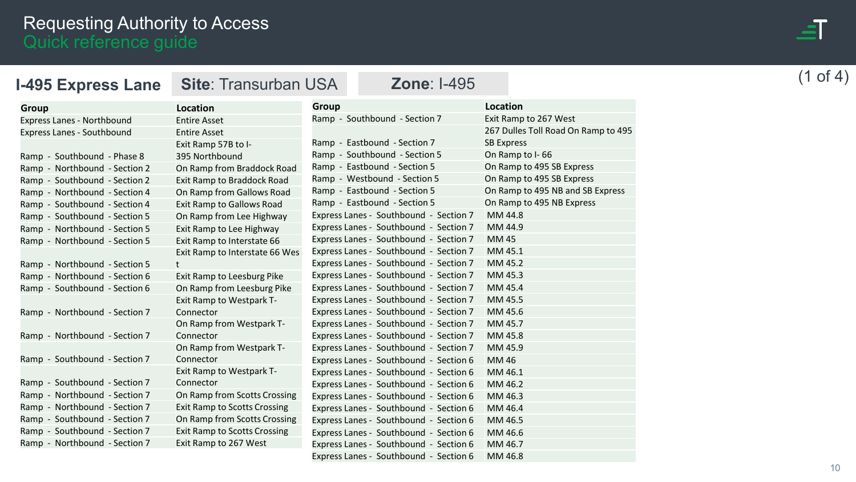|        | ___<br><b>Contract Contract Contract Contract Contract Contract Contract Contract Contract Contract Contract Contract Co</b><br>____<br>- |  |  |
|--------|-------------------------------------------------------------------------------------------------------------------------------------------|--|--|
| ______ |                                                                                                                                           |  |  |
|        |                                                                                                                                           |  |  |
|        |                                                                                                                                           |  |  |

<span id="page-9-0"></span>

| <b>I-495 Express Lane</b>         | <b>Site: Transurban USA</b>         | <b>Zone: I-495</b>                     |                                     |
|-----------------------------------|-------------------------------------|----------------------------------------|-------------------------------------|
| <b>Group</b>                      | <b>Location</b>                     | <b>Group</b>                           | Location                            |
| <b>Express Lanes - Northbound</b> | <b>Entire Asset</b>                 | Ramp - Southbound - Section 7          | Exit Ramp to 267 West               |
| Express Lanes - Southbound        | <b>Entire Asset</b>                 |                                        | 267 Dulles Toll Road On Ramp to 495 |
|                                   | Exit Ramp 57B to I-                 | Ramp - Eastbound - Section 7           | <b>SB Express</b>                   |
| Ramp - Southbound - Phase 8       | 395 Northbound                      | Ramp - Southbound - Section 5          | On Ramp to I-66                     |
| Ramp - Northbound - Section 2     | On Ramp from Braddock Road          | Ramp - Eastbound - Section 5           | On Ramp to 495 SB Express           |
| Ramp - Southbound - Section 2     | Exit Ramp to Braddock Road          | Ramp - Westbound - Section 5           | On Ramp to 495 SB Express           |
| Ramp - Northbound - Section 4     | On Ramp from Gallows Road           | Ramp - Eastbound - Section 5           | On Ramp to 495 NB and SB Express    |
| Ramp - Southbound - Section 4     | <b>Exit Ramp to Gallows Road</b>    | Ramp - Eastbound - Section 5           | On Ramp to 495 NB Express           |
| Ramp - Southbound - Section 5     | On Ramp from Lee Highway            | Express Lanes - Southbound - Section 7 | MM 44.8                             |
| Ramp - Northbound - Section 5     | Exit Ramp to Lee Highway            | Express Lanes - Southbound - Section 7 | MM 44.9                             |
| Ramp - Northbound - Section 5     | Exit Ramp to Interstate 66          | Express Lanes - Southbound - Section 7 | <b>MM45</b>                         |
|                                   | Exit Ramp to Interstate 66 Wes      | Express Lanes - Southbound - Section 7 | MM 45.1                             |
| Ramp - Northbound - Section 5     |                                     | Express Lanes - Southbound - Section 7 | MM 45.2                             |
| Ramp - Northbound - Section 6     | Exit Ramp to Leesburg Pike          | Express Lanes - Southbound - Section 7 | MM 45.3                             |
| Ramp - Southbound - Section 6     | On Ramp from Leesburg Pike          | Express Lanes - Southbound - Section 7 | MM 45.4                             |
|                                   | Exit Ramp to Westpark T-            | Express Lanes - Southbound - Section 7 | MM 45.5                             |
| Ramp - Northbound - Section 7     | Connector                           | Express Lanes - Southbound - Section 7 | MM 45.6                             |
|                                   | On Ramp from Westpark T-            | Express Lanes - Southbound - Section 7 | MM 45.7                             |
| Ramp - Northbound - Section 7     | Connector                           | Express Lanes - Southbound - Section 7 | MM 45.8                             |
|                                   | On Ramp from Westpark T-            | Express Lanes - Southbound - Section 7 | MM 45.9                             |
| Ramp - Southbound - Section 7     | Connector                           | Express Lanes - Southbound - Section 6 | MM 46                               |
|                                   | Exit Ramp to Westpark T-            | Express Lanes - Southbound - Section 6 | MM 46.1                             |
| Ramp - Southbound - Section 7     | Connector                           | Express Lanes - Southbound - Section 6 | MM 46.2                             |
| Ramp - Northbound - Section 7     | On Ramp from Scotts Crossing        | Express Lanes - Southbound - Section 6 | MM 46.3                             |
| Ramp - Northbound - Section 7     | <b>Exit Ramp to Scotts Crossing</b> | Express Lanes - Southbound - Section 6 | MM 46.4                             |
| Ramp - Southbound - Section 7     | On Ramp from Scotts Crossing        | Express Lanes - Southbound - Section 6 | MM 46.5                             |
| Ramp - Southbound - Section 7     | <b>Exit Ramp to Scotts Crossing</b> | Express Lanes - Southbound - Section 6 | MM 46.6                             |
| Ramp - Northbound - Section 7     | Exit Ramp to 267 West               | Express Lanes - Southbound - Section 6 | MM 46.7                             |
|                                   |                                     | Express Lanes - Southbound - Section 6 | MM 46.8                             |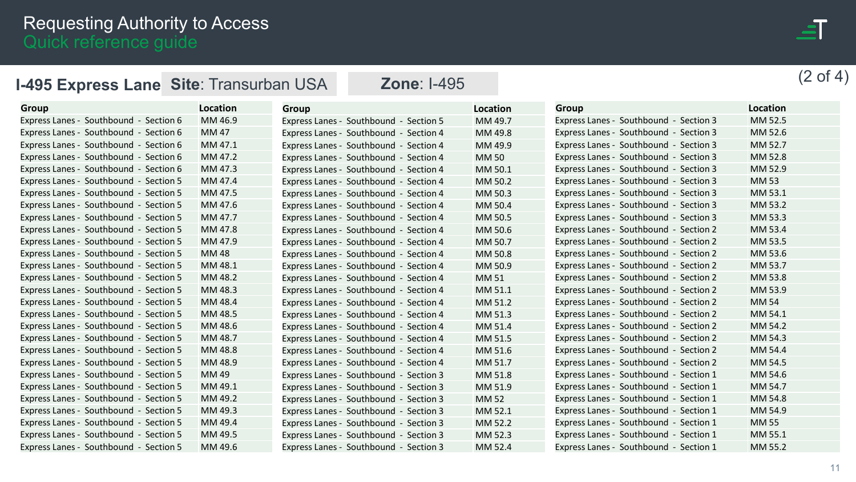| ___<br><b>Contract Contract Contract Contract Contract Contract Contract Contract Contract Contract Contract Contract Co</b><br>__ |  |
|------------------------------------------------------------------------------------------------------------------------------------|--|
| _____<br>______                                                                                                                    |  |
|                                                                                                                                    |  |
|                                                                                                                                    |  |

# (2 of 4) **I-495 Express Lane Site**: Transurban USA **Zone**: I-495

| <b>Group</b>                           | Location    | Group                                  | Location | Group                                  | Location    |
|----------------------------------------|-------------|----------------------------------------|----------|----------------------------------------|-------------|
| Express Lanes - Southbound - Section 6 | MM 46.9     | Express Lanes - Southbound - Section 5 | MM 49.7  | Express Lanes - Southbound - Section 3 | MM 52.5     |
| Express Lanes - Southbound - Section 6 | MM 47       | Express Lanes - Southbound - Section 4 | MM 49.8  | Express Lanes - Southbound - Section 3 | MM 52.6     |
| Express Lanes - Southbound - Section 6 | MM 47.1     | Express Lanes - Southbound - Section 4 | MM 49.9  | Express Lanes - Southbound - Section 3 | MM 52.7     |
| Express Lanes - Southbound - Section 6 | MM 47.2     | Express Lanes - Southbound - Section 4 | MM 50    | Express Lanes - Southbound - Section 3 | MM 52.8     |
| Express Lanes - Southbound - Section 6 | MM 47.3     | Express Lanes - Southbound - Section 4 | MM 50.1  | Express Lanes - Southbound - Section 3 | MM 52.9     |
| Express Lanes - Southbound - Section 5 | MM 47.4     | Express Lanes - Southbound - Section 4 | MM 50.2  | Express Lanes - Southbound - Section 3 | <b>MM53</b> |
| Express Lanes - Southbound - Section 5 | MM 47.5     | Express Lanes - Southbound - Section 4 | MM 50.3  | Express Lanes - Southbound - Section 3 | MM 53.1     |
| Express Lanes - Southbound - Section 5 | MM 47.6     | Express Lanes - Southbound - Section 4 | MM 50.4  | Express Lanes - Southbound - Section 3 | MM 53.2     |
| Express Lanes - Southbound - Section 5 | MM 47.7     | Express Lanes - Southbound - Section 4 | MM 50.5  | Express Lanes - Southbound - Section 3 | MM 53.3     |
| Express Lanes - Southbound - Section 5 | MM 47.8     | Express Lanes - Southbound - Section 4 | MM 50.6  | Express Lanes - Southbound - Section 2 | MM 53.4     |
| Express Lanes - Southbound - Section 5 | MM 47.9     | Express Lanes - Southbound - Section 4 | MM 50.7  | Express Lanes - Southbound - Section 2 | MM 53.5     |
| Express Lanes - Southbound - Section 5 | <b>MM48</b> | Express Lanes - Southbound - Section 4 | MM 50.8  | Express Lanes - Southbound - Section 2 | MM 53.6     |
| Express Lanes - Southbound - Section 5 | MM 48.1     | Express Lanes - Southbound - Section 4 | MM 50.9  | Express Lanes - Southbound - Section 2 | MM 53.7     |
| Express Lanes - Southbound - Section 5 | MM 48.2     | Express Lanes - Southbound - Section 4 | MM 51    | Express Lanes - Southbound - Section 2 | MM 53.8     |
| Express Lanes - Southbound - Section 5 | MM 48.3     | Express Lanes - Southbound - Section 4 | MM 51.1  | Express Lanes - Southbound - Section 2 | MM 53.9     |
| Express Lanes - Southbound - Section 5 | MM 48.4     | Express Lanes - Southbound - Section 4 | MM 51.2  | Express Lanes - Southbound - Section 2 | <b>MM54</b> |
| Express Lanes - Southbound - Section 5 | MM 48.5     | Express Lanes - Southbound - Section 4 | MM 51.3  | Express Lanes - Southbound - Section 2 | MM 54.1     |
| Express Lanes - Southbound - Section 5 | MM 48.6     | Express Lanes - Southbound - Section 4 | MM 51.4  | Express Lanes - Southbound - Section 2 | MM 54.2     |
| Express Lanes - Southbound - Section 5 | MM 48.7     | Express Lanes - Southbound - Section 4 | MM 51.5  | Express Lanes - Southbound - Section 2 | MM 54.3     |
| Express Lanes - Southbound - Section 5 | MM 48.8     | Express Lanes - Southbound - Section 4 | MM 51.6  | Express Lanes - Southbound - Section 2 | MM 54.4     |
| Express Lanes - Southbound - Section 5 | MM 48.9     | Express Lanes - Southbound - Section 4 | MM 51.7  | Express Lanes - Southbound - Section 2 | MM 54.5     |
| Express Lanes - Southbound - Section 5 | MM 49       | Express Lanes - Southbound - Section 3 | MM 51.8  | Express Lanes - Southbound - Section 1 | MM 54.6     |
| Express Lanes - Southbound - Section 5 | MM 49.1     | Express Lanes - Southbound - Section 3 | MM 51.9  | Express Lanes - Southbound - Section 1 | MM 54.7     |
| Express Lanes - Southbound - Section 5 | MM 49.2     | Express Lanes - Southbound - Section 3 | MM 52    | Express Lanes - Southbound - Section 1 | MM 54.8     |
| Express Lanes - Southbound - Section 5 | MM 49.3     | Express Lanes - Southbound - Section 3 | MM 52.1  | Express Lanes - Southbound - Section 1 | MM 54.9     |
| Express Lanes - Southbound - Section 5 | MM 49.4     | Express Lanes - Southbound - Section 3 | MM 52.2  | Express Lanes - Southbound - Section 1 | <b>MM55</b> |
| Express Lanes - Southbound - Section 5 | MM 49.5     | Express Lanes - Southbound - Section 3 | MM 52.3  | Express Lanes - Southbound - Section 1 | MM 55.1     |
| Express Lanes - Southbound - Section 5 | MM 49.6     | Express Lanes - Southbound - Section 3 | MM 52.4  | Express Lanes - Southbound - Section 1 | MM 55.2     |
|                                        |             |                                        |          |                                        |             |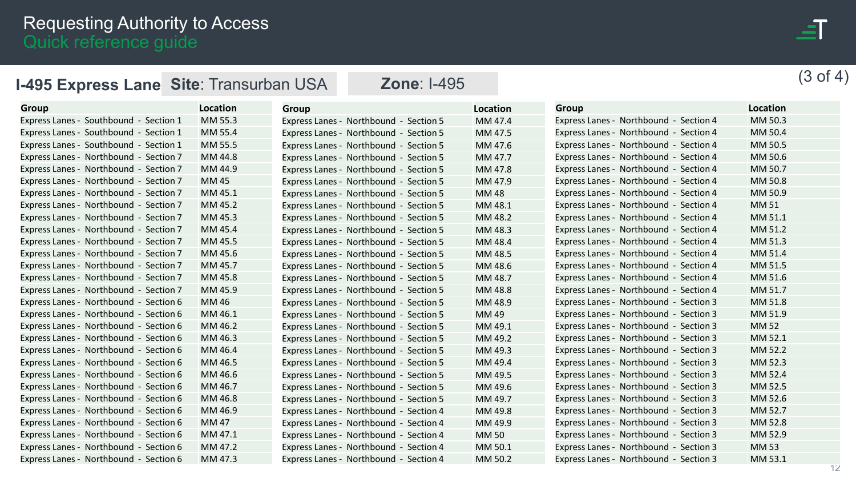|                 | ___<br><b>Contract Contract Contract Contract Contract Contract Contract Contract Contract Contract Contract Contract Co</b><br>__ |  |
|-----------------|------------------------------------------------------------------------------------------------------------------------------------|--|
| _____<br>______ |                                                                                                                                    |  |
|                 |                                                                                                                                    |  |

12

# (3 of 4) **I-495 Express Lane Site**: Transurban USA **Zone**: I-495

| Group                                  | Location    | Group                                  | Location    | Group                                  | Location     |
|----------------------------------------|-------------|----------------------------------------|-------------|----------------------------------------|--------------|
| Express Lanes - Southbound - Section 1 | MM 55.3     | Express Lanes - Northbound - Section 5 | MM 47.4     | Express Lanes - Northbound - Section 4 | MM 50.3      |
| Express Lanes - Southbound - Section 1 | MM 55.4     | Express Lanes - Northbound - Section 5 | MM 47.5     | Express Lanes - Northbound - Section 4 | MM 50.4      |
| Express Lanes - Southbound - Section 1 | MM 55.5     | Express Lanes - Northbound - Section 5 | MM 47.6     | Express Lanes - Northbound - Section 4 | MM 50.5      |
| Express Lanes - Northbound - Section 7 | MM 44.8     | Express Lanes - Northbound - Section 5 | MM 47.7     | Express Lanes - Northbound - Section 4 | MM 50.6      |
| Express Lanes - Northbound - Section 7 | MM 44.9     | Express Lanes - Northbound - Section 5 | MM 47.8     | Express Lanes - Northbound - Section 4 | MM 50.7      |
| Express Lanes - Northbound - Section 7 | <b>MM45</b> | Express Lanes - Northbound - Section 5 | MM 47.9     | Express Lanes - Northbound - Section 4 | MM 50.8      |
| Express Lanes - Northbound - Section 7 | MM 45.1     | Express Lanes - Northbound - Section 5 | <b>MM48</b> | Express Lanes - Northbound - Section 4 | MM 50.9      |
| Express Lanes - Northbound - Section 7 | MM 45.2     | Express Lanes - Northbound - Section 5 | MM 48.1     | Express Lanes - Northbound - Section 4 | MM 51        |
| Express Lanes - Northbound - Section 7 | MM 45.3     | Express Lanes - Northbound - Section 5 | MM 48.2     | Express Lanes - Northbound - Section 4 | MM 51.1      |
| Express Lanes - Northbound - Section 7 | MM 45.4     | Express Lanes - Northbound - Section 5 | MM 48.3     | Express Lanes - Northbound - Section 4 | MM 51.2      |
| Express Lanes - Northbound - Section 7 | MM 45.5     | Express Lanes - Northbound - Section 5 | MM 48.4     | Express Lanes - Northbound - Section 4 | MM 51.3      |
| Express Lanes - Northbound - Section 7 | MM 45.6     | Express Lanes - Northbound - Section 5 | MM 48.5     | Express Lanes - Northbound - Section 4 | MM 51.4      |
| Express Lanes - Northbound - Section 7 | MM 45.7     | Express Lanes - Northbound - Section 5 | MM 48.6     | Express Lanes - Northbound - Section 4 | MM 51.5      |
| Express Lanes - Northbound - Section 7 | MM 45.8     | Express Lanes - Northbound - Section 5 | MM 48.7     | Express Lanes - Northbound - Section 4 | MM 51.6      |
| Express Lanes - Northbound - Section 7 | MM 45.9     | Express Lanes - Northbound - Section 5 | MM 48.8     | Express Lanes - Northbound - Section 4 | MM 51.7      |
| Express Lanes - Northbound - Section 6 | MM 46       | Express Lanes - Northbound - Section 5 | MM 48.9     | Express Lanes - Northbound - Section 3 | MM 51.8      |
| Express Lanes - Northbound - Section 6 | MM 46.1     | Express Lanes - Northbound - Section 5 | <b>MM49</b> | Express Lanes - Northbound - Section 3 | MM 51.9      |
| Express Lanes - Northbound - Section 6 | MM 46.2     | Express Lanes - Northbound - Section 5 | MM 49.1     | Express Lanes - Northbound - Section 3 | MM 52        |
| Express Lanes - Northbound - Section 6 | MM 46.3     | Express Lanes - Northbound - Section 5 | MM 49.2     | Express Lanes - Northbound - Section 3 | MM 52.1      |
| Express Lanes - Northbound - Section 6 | MM 46.4     | Express Lanes - Northbound - Section 5 | MM 49.3     | Express Lanes - Northbound - Section 3 | MM 52.2      |
| Express Lanes - Northbound - Section 6 | MM 46.5     | Express Lanes - Northbound - Section 5 | MM 49.4     | Express Lanes - Northbound - Section 3 | MM 52.3      |
| Express Lanes - Northbound - Section 6 | MM 46.6     | Express Lanes - Northbound - Section 5 | MM 49.5     | Express Lanes - Northbound - Section 3 | MM 52.4      |
| Express Lanes - Northbound - Section 6 | MM 46.7     | Express Lanes - Northbound - Section 5 | MM 49.6     | Express Lanes - Northbound - Section 3 | MM 52.5      |
| Express Lanes - Northbound - Section 6 | MM 46.8     | Express Lanes - Northbound - Section 5 | MM 49.7     | Express Lanes - Northbound - Section 3 | MM 52.6      |
| Express Lanes - Northbound - Section 6 | MM 46.9     | Express Lanes - Northbound - Section 4 | MM 49.8     | Express Lanes - Northbound - Section 3 | MM 52.7      |
| Express Lanes - Northbound - Section 6 | MM 47       | Express Lanes - Northbound - Section 4 | MM 49.9     | Express Lanes - Northbound - Section 3 | MM 52.8      |
| Express Lanes - Northbound - Section 6 | MM 47.1     | Express Lanes - Northbound - Section 4 | <b>MM50</b> | Express Lanes - Northbound - Section 3 | MM 52.9      |
| Express Lanes - Northbound - Section 6 | MM 47.2     | Express Lanes - Northbound - Section 4 | MM 50.1     | Express Lanes - Northbound - Section 3 | <b>MM 53</b> |
| Express Lanes - Northbound - Section 6 | MM 47.3     | Express Lanes - Northbound - Section 4 | MM 50.2     | Express Lanes - Northbound - Section 3 | MM 53.1      |
|                                        |             |                                        |             |                                        |              |